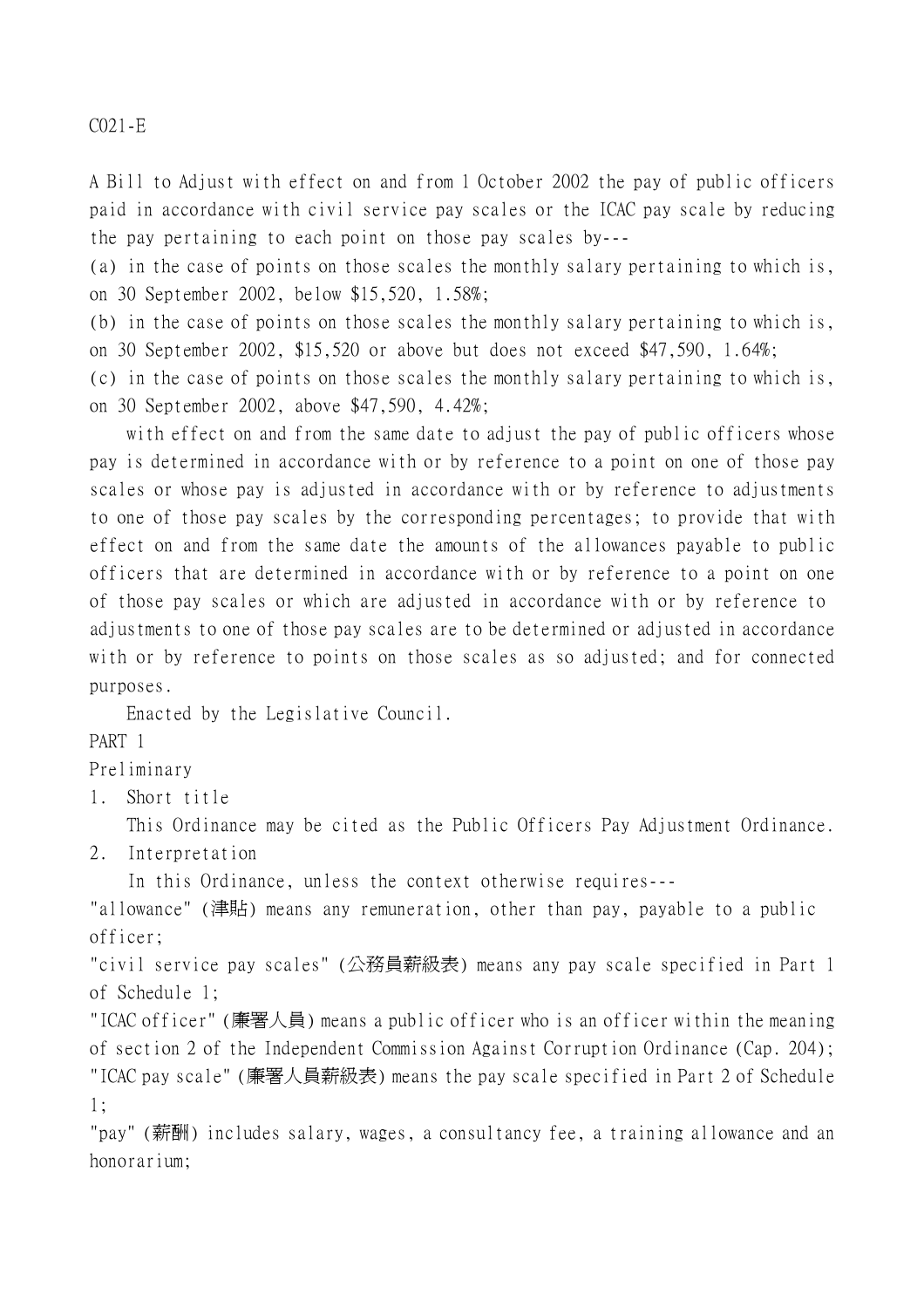C021-E

A Bill to Adjust with effect on and from 1 October 2002 the pay of public officers paid in accordance with civil service pay scales or the ICAC pay scale by reducing the pay pertaining to each point on those pay scales by---

(a) in the case of points on those scales the monthly salary pertaining to which is, on 30 September 2002, below \$15,520, 1.58%;

(b) in the case of points on those scales the monthly salary pertaining to which is, on 30 September 2002, \$15,520 or above but does not exceed \$47,590, 1.64%;

(c) in the case of points on those scales the monthly salary pertaining to which is, on 30 September 2002, above \$47,590, 4.42%;

with effect on and from the same date to adjust the pay of public officers whose pay is determined in accordance with or by reference to a point on one of those pay scales or whose pay is adjusted in accordance with or by reference to adjustments to one of those pay scales by the corresponding percentages; to provide that with effect on and from the same date the amounts of the allowances payable to public officers that are determined in accordance with or by reference to a point on one of those pay scales or which are adjusted in accordance with or by reference to adjustments to one of those pay scales are to be determined or adjusted in accordance with or by reference to points on those scales as so adjusted; and for connected purposes.

Enacted by the Legislative Council.

PART 1

Preliminary

1. Short title

This Ordinance may be cited as the Public Officers Pay Adjustment Ordinance.

2. Interpretation

In this Ordinance, unless the context otherwise requires---

"allowance" (津貼) means any remuneration, other than pay, payable to a public officer;

"civil service pay scales" (公務員薪級表) means any pay scale specified in Part 1 of Schedule 1;

"ICAC officer" (廉署㆟員) means a public officer who is an officer within the meaning of section 2 of the Independent Commission Against Corruption Ordinance (Cap. 204); "ICAC pay scale" (廉署㆟員薪級表) means the pay scale specified in Part 2 of Schedule 1;

"pay" (薪酬) includes salary, wages, a consultancy fee, a training allowance and an honorarium;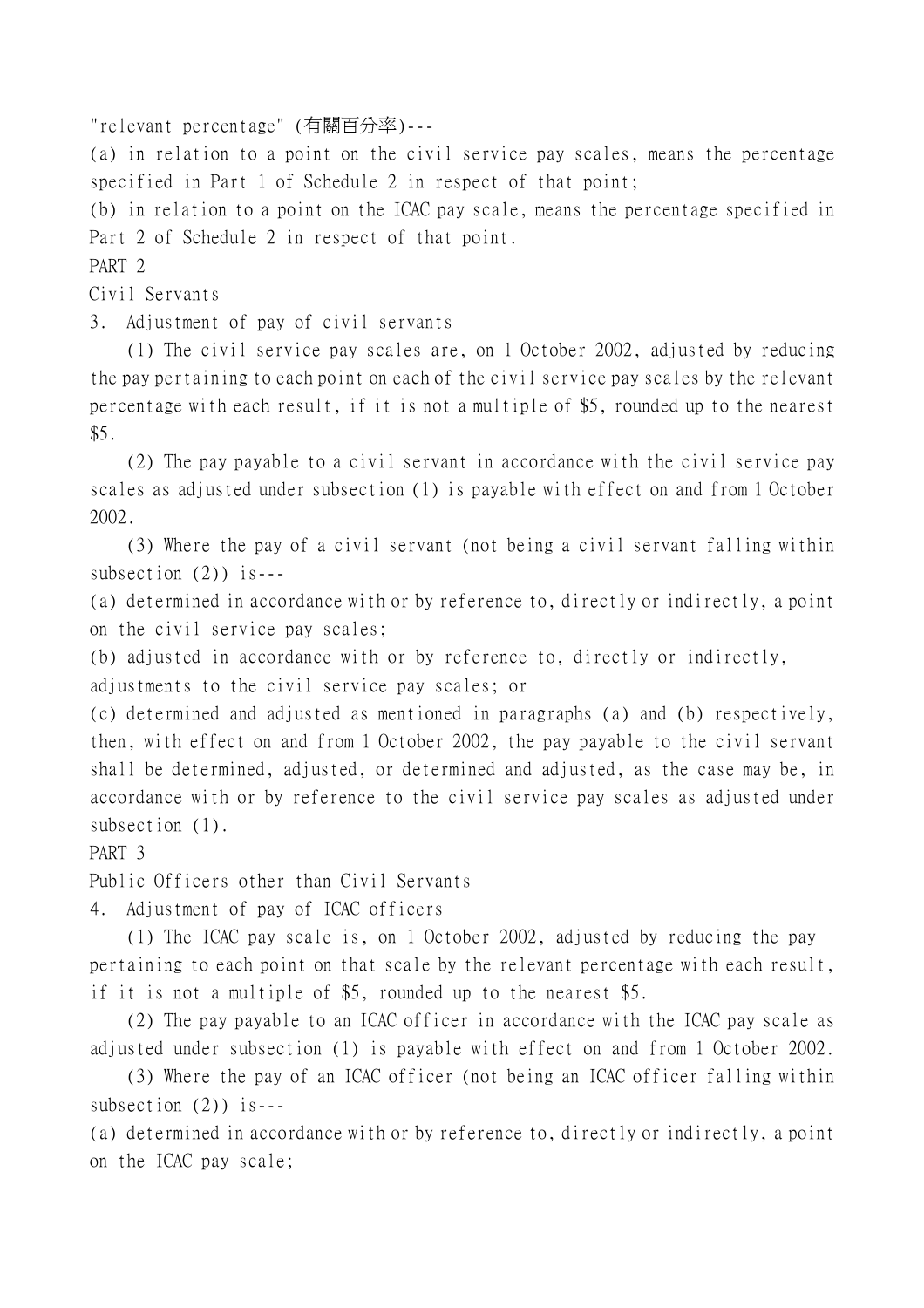"relevant percentage" (有關百分率)---

(a) in relation to a point on the civil service pay scales, means the percentage specified in Part 1 of Schedule 2 in respect of that point;

(b) in relation to a point on the ICAC pay scale, means the percentage specified in Part 2 of Schedule 2 in respect of that point.

PART 2

Civil Servants

3. Adjustment of pay of civil servants

(1) The civil service pay scales are, on 1 October 2002, adjusted by reducing the pay pertaining to each point on each of the civil service pay scales by the relevant percentage with each result, if it is not a multiple of \$5, rounded up to the nearest \$5.

(2) The pay payable to a civil servant in accordance with the civil service pay scales as adjusted under subsection (1) is payable with effect on and from 1 October 2002.

(3) Where the pay of a civil servant (not being a civil servant falling within subsection  $(2)$ ) is---

(a) determined in accordance with or by reference to, directly or indirectly, a point on the civil service pay scales;

(b) adjusted in accordance with or by reference to, directly or indirectly,

adjustments to the civil service pay scales; or

(c) determined and adjusted as mentioned in paragraphs (a) and (b) respectively, then, with effect on and from 1 October 2002, the pay payable to the civil servant shall be determined, adjusted, or determined and adjusted, as the case may be, in accordance with or by reference to the civil service pay scales as adjusted under subsection  $(1)$ .

PART 3

Public Officers other than Civil Servants

4. Adjustment of pay of ICAC officers

(1) The ICAC pay scale is, on 1 October 2002, adjusted by reducing the pay pertaining to each point on that scale by the relevant percentage with each result, if it is not a multiple of \$5, rounded up to the nearest \$5.

(2) The pay payable to an ICAC officer in accordance with the ICAC pay scale as adjusted under subsection (1) is payable with effect on and from 1 October 2002.

(3) Where the pay of an ICAC officer (not being an ICAC officer falling within subsection  $(2)$ ) is---

(a) determined in accordance with or by reference to, directly or indirectly, a point on the ICAC pay scale;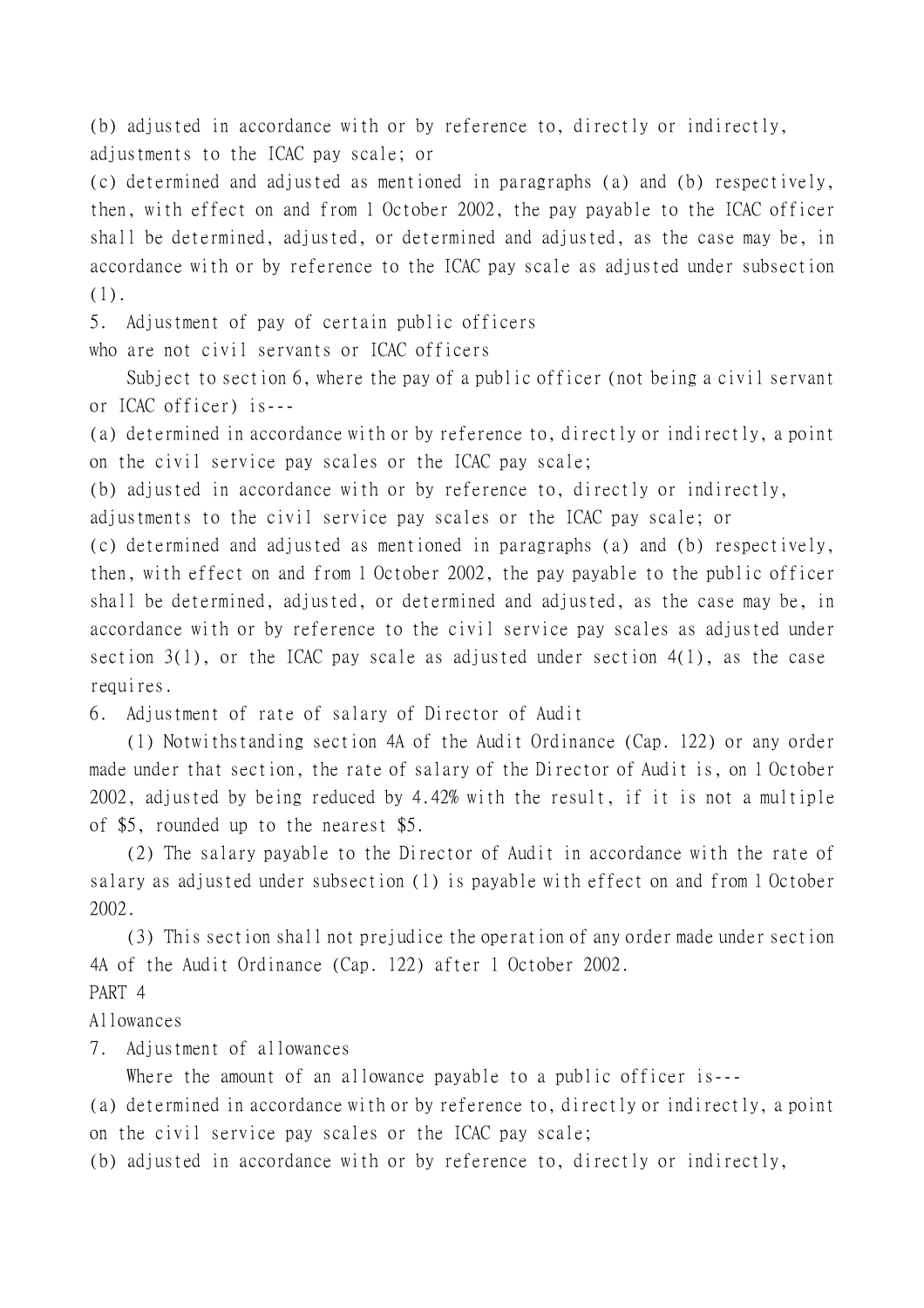(b) adjusted in accordance with or by reference to, directly or indirectly, adjustments to the ICAC pay scale; or

(c) determined and adjusted as mentioned in paragraphs (a) and (b) respectively, then, with effect on and from 1 October 2002, the pay payable to the ICAC officer shall be determined, adjusted, or determined and adjusted, as the case may be, in accordance with or by reference to the ICAC pay scale as adjusted under subsection (1).

5. Adjustment of pay of certain public officers

who are not civil servants or ICAC officers

Subject to section 6, where the pay of a public officer (not being a civil servant or ICAC officer) is---

(a) determined in accordance with or by reference to, directly or indirectly, a point on the civil service pay scales or the ICAC pay scale;

(b) adjusted in accordance with or by reference to, directly or indirectly,

adjustments to the civil service pay scales or the ICAC pay scale; or

(c) determined and adjusted as mentioned in paragraphs (a) and (b) respectively, then, with effect on and from 1 October 2002, the pay payable to the public officer shall be determined, adjusted, or determined and adjusted, as the case may be, in accordance with or by reference to the civil service pay scales as adjusted under section  $3(1)$ , or the ICAC pay scale as adjusted under section  $4(1)$ , as the case requires.

6. Adjustment of rate of salary of Director of Audit

(1) Notwithstanding section 4A of the Audit Ordinance (Cap. 122) or any order made under that section, the rate of salary of the Director of Audit is, on 1 October 2002, adjusted by being reduced by 4.42% with the result, if it is not a multiple of \$5, rounded up to the nearest \$5.

(2) The salary payable to the Director of Audit in accordance with the rate of salary as adjusted under subsection (1) is payable with effect on and from 1 October 2002.

(3) This section shall not prejudice the operation of any order made under section 4A of the Audit Ordinance (Cap. 122) after 1 October 2002.

## PART 4

Allowances

7. Adjustment of allowances

Where the amount of an allowance payable to a public officer is---

(a) determined in accordance with or by reference to, directly or indirectly, a point on the civil service pay scales or the ICAC pay scale;

(b) adjusted in accordance with or by reference to, directly or indirectly,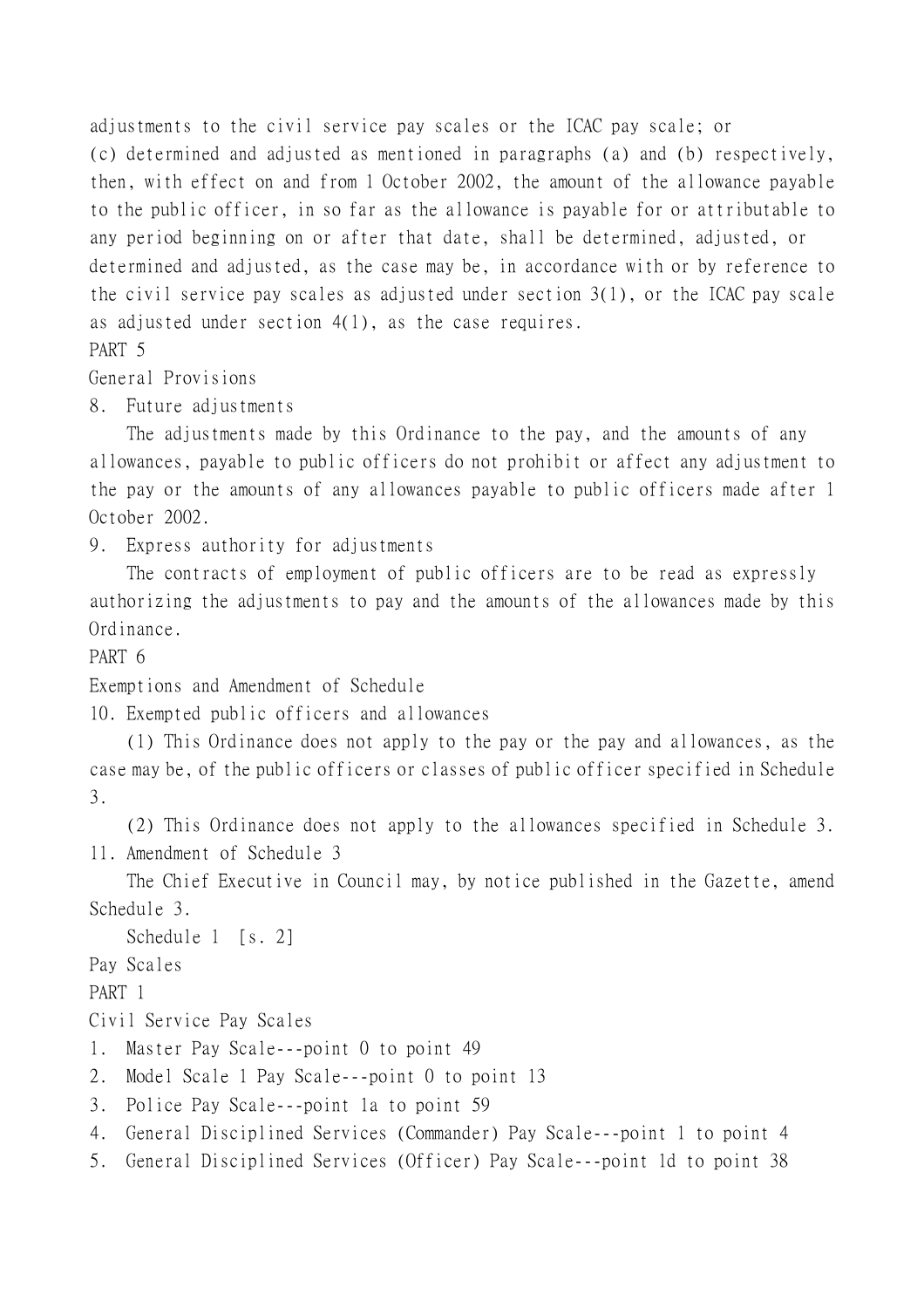adjustments to the civil service pay scales or the ICAC pay scale; or (c) determined and adjusted as mentioned in paragraphs (a) and (b) respectively, then, with effect on and from 1 October 2002, the amount of the allowance payable to the public officer, in so far as the allowance is payable for or attributable to any period beginning on or after that date, shall be determined, adjusted, or determined and adjusted, as the case may be, in accordance with or by reference to the civil service pay scales as adjusted under section 3(1), or the ICAC pay scale as adjusted under section 4(1), as the case requires. PART 5

General Provisions

8. Future adjustments

The adjustments made by this Ordinance to the pay, and the amounts of any allowances, payable to public officers do not prohibit or affect any adjustment to the pay or the amounts of any allowances payable to public officers made after 1 October 2002.

9. Express authority for adjustments

The contracts of employment of public officers are to be read as expressly authorizing the adjustments to pay and the amounts of the allowances made by this Ordinance.

PART 6

Exemptions and Amendment of Schedule

10. Exempted public officers and allowances

(1) This Ordinance does not apply to the pay or the pay and allowances, as the case may be, of the public officers or classes of public officer specified in Schedule 3.

(2) This Ordinance does not apply to the allowances specified in Schedule 3. 11. Amendment of Schedule 3

The Chief Executive in Council may, by notice published in the Gazette, amend Schedule 3.

Schedule 1 [s. 2]

Pay Scales

PART 1

Civil Service Pay Scales

- 1. Master Pay Scale---point 0 to point 49
- 2. Model Scale 1 Pay Scale---point 0 to point 13
- 3. Police Pay Scale---point 1a to point 59
- 4. General Disciplined Services (Commander) Pay Scale---point 1 to point 4
- 5. General Disciplined Services (Officer) Pay Scale---point 1d to point 38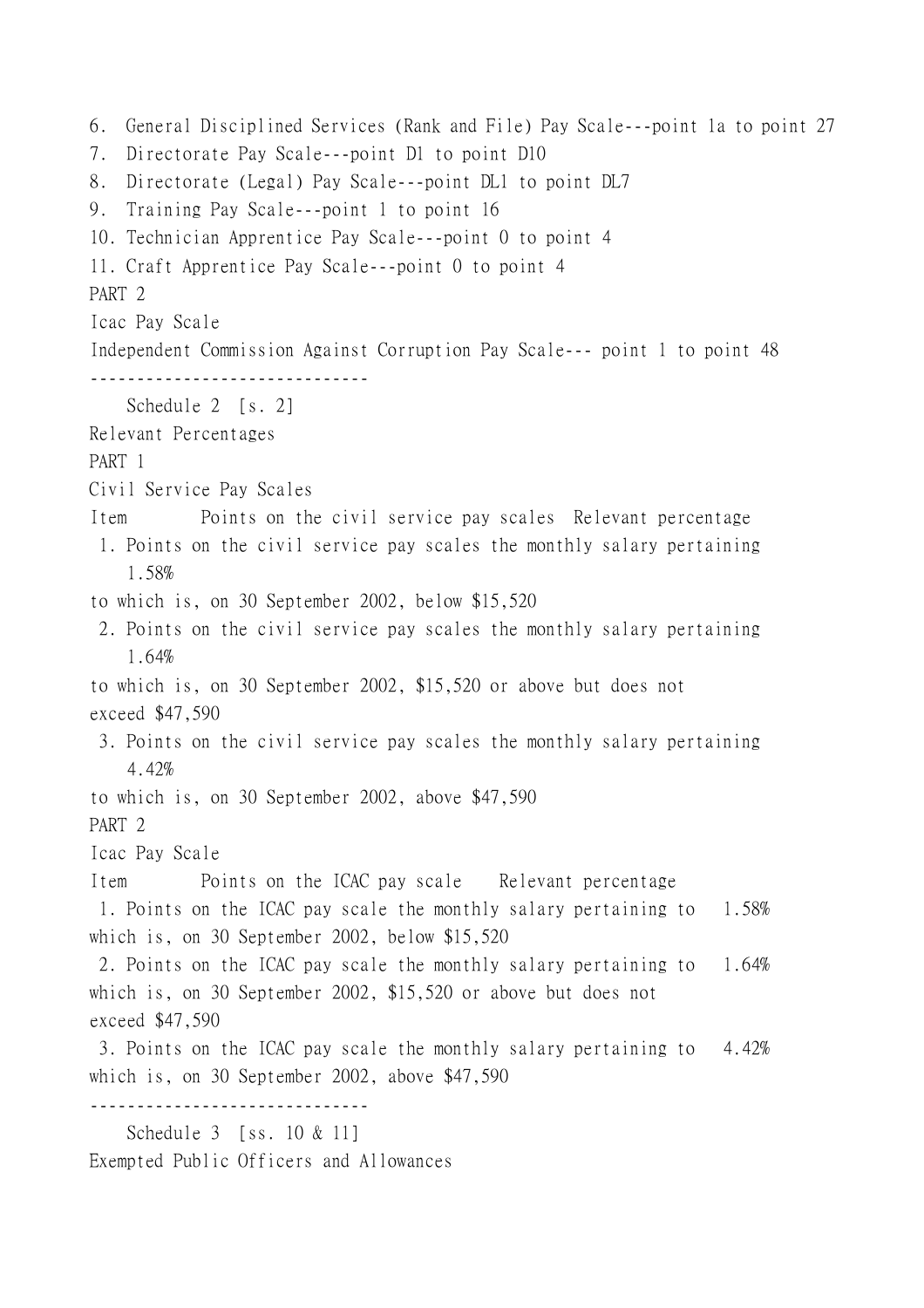6. General Disciplined Services (Rank and File) Pay Scale---point 1a to point 27 7. Directorate Pay Scale---point D1 to point D10 8. Directorate (Legal) Pay Scale---point DL1 to point DL7 9. Training Pay Scale---point 1 to point 16 10. Technician Apprentice Pay Scale---point 0 to point 4 11. Craft Apprentice Pay Scale---point 0 to point 4 PART 2 Icac Pay Scale Independent Commission Against Corruption Pay Scale--- point 1 to point 48 ------------------------------ Schedule 2 [s. 2] Relevant Percentages PART 1 Civil Service Pay Scales Item Points on the civil service pay scales Relevant percentage 1. Points on the civil service pay scales the monthly salary pertaining 1.58% to which is, on 30 September 2002, below \$15,520 2. Points on the civil service pay scales the monthly salary pertaining 1.64% to which is, on 30 September 2002, \$15,520 or above but does not exceed \$47,590 3. Points on the civil service pay scales the monthly salary pertaining 4.42% to which is, on 30 September 2002, above \$47,590 PART 2 Icac Pay Scale Item Points on the ICAC pay scale Relevant percentage 1. Points on the ICAC pay scale the monthly salary pertaining to 1.58% which is, on 30 September 2002, below \$15,520 2. Points on the ICAC pay scale the monthly salary pertaining to 1.64% which is, on 30 September 2002, \$15,520 or above but does not exceed \$47,590 3. Points on the ICAC pay scale the monthly salary pertaining to 4.42% which is, on 30 September 2002, above \$47,590 ------------------------------ Schedule 3 [ss. 10 & 11] Exempted Public Officers and Allowances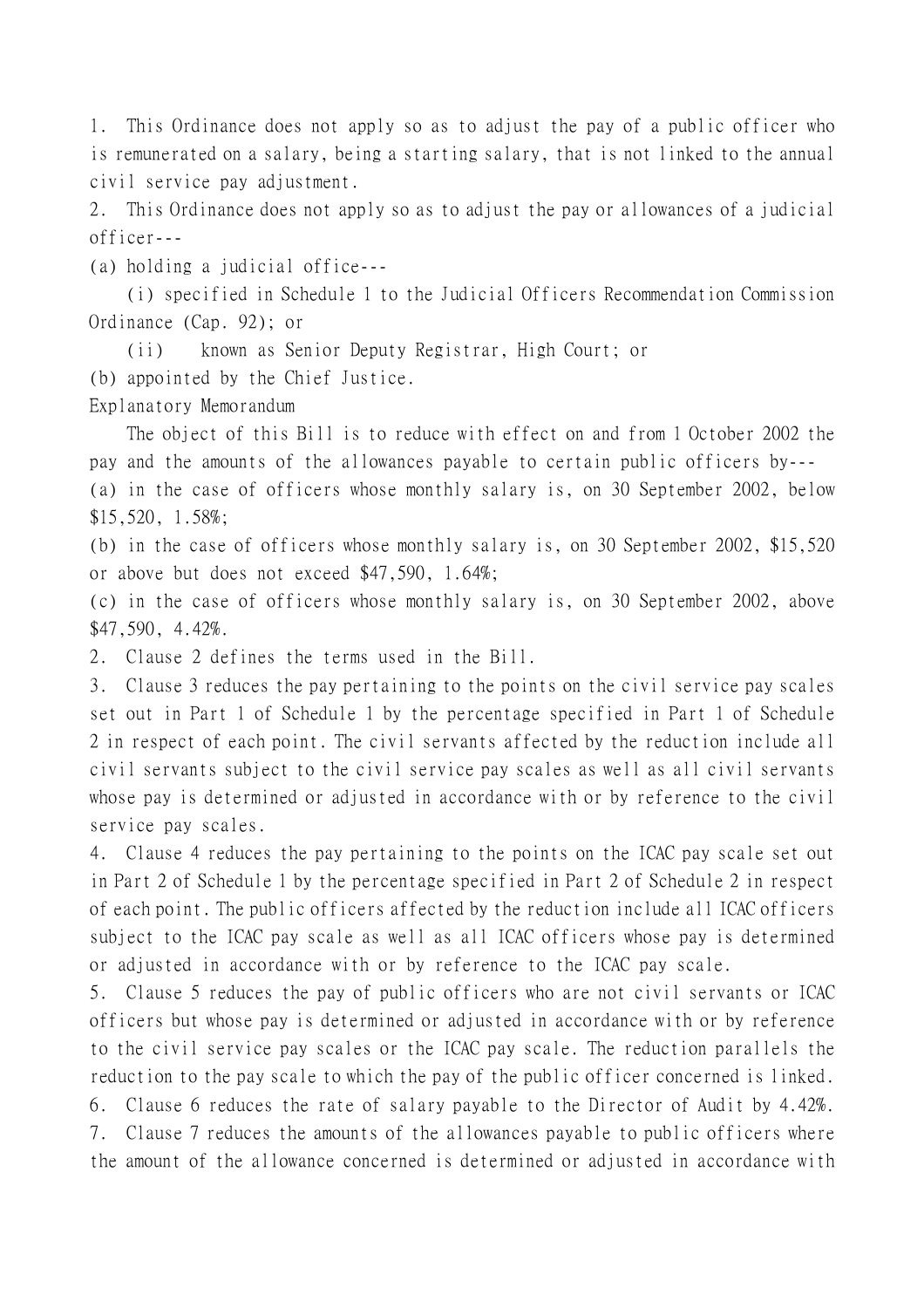1. This Ordinance does not apply so as to adjust the pay of a public officer who is remunerated on a salary, being a starting salary, that is not linked to the annual civil service pay adjustment.

2. This Ordinance does not apply so as to adjust the pay or allowances of a judicial officer---

(a) holding a judicial office---

(i) specified in Schedule 1 to the Judicial Officers Recommendation Commission Ordinance (Cap. 92); or

(ii) known as Senior Deputy Registrar, High Court; or

(b) appointed by the Chief Justice.

Explanatory Memorandum

The object of this Bill is to reduce with effect on and from 1 October 2002 the pay and the amounts of the allowances payable to certain public officers by--- (a) in the case of officers whose monthly salary is, on 30 September 2002, below

\$15,520, 1.58%;

(b) in the case of officers whose monthly salary is, on 30 September 2002, \$15,520 or above but does not exceed \$47,590, 1.64%;

(c) in the case of officers whose monthly salary is, on 30 September 2002, above \$47,590, 4.42%.

2. Clause 2 defines the terms used in the Bill.

3. Clause 3 reduces the pay pertaining to the points on the civil service pay scales set out in Part 1 of Schedule 1 by the percentage specified in Part 1 of Schedule 2 in respect of each point. The civil servants affected by the reduction include all civil servants subject to the civil service pay scales as well as all civil servants whose pay is determined or adjusted in accordance with or by reference to the civil service pay scales.

4. Clause 4 reduces the pay pertaining to the points on the ICAC pay scale set out in Part 2 of Schedule 1 by the percentage specified in Part 2 of Schedule 2 in respect of each point. The public officers affected by the reduction include all ICAC officers subject to the ICAC pay scale as well as all ICAC officers whose pay is determined or adjusted in accordance with or by reference to the ICAC pay scale.

5. Clause 5 reduces the pay of public officers who are not civil servants or ICAC officers but whose pay is determined or adjusted in accordance with or by reference to the civil service pay scales or the ICAC pay scale. The reduction parallels the reduction to the pay scale to which the pay of the public officer concerned is linked.

6. Clause 6 reduces the rate of salary payable to the Director of Audit by 4.42%. 7. Clause 7 reduces the amounts of the allowances payable to public officers where

the amount of the allowance concerned is determined or adjusted in accordance with